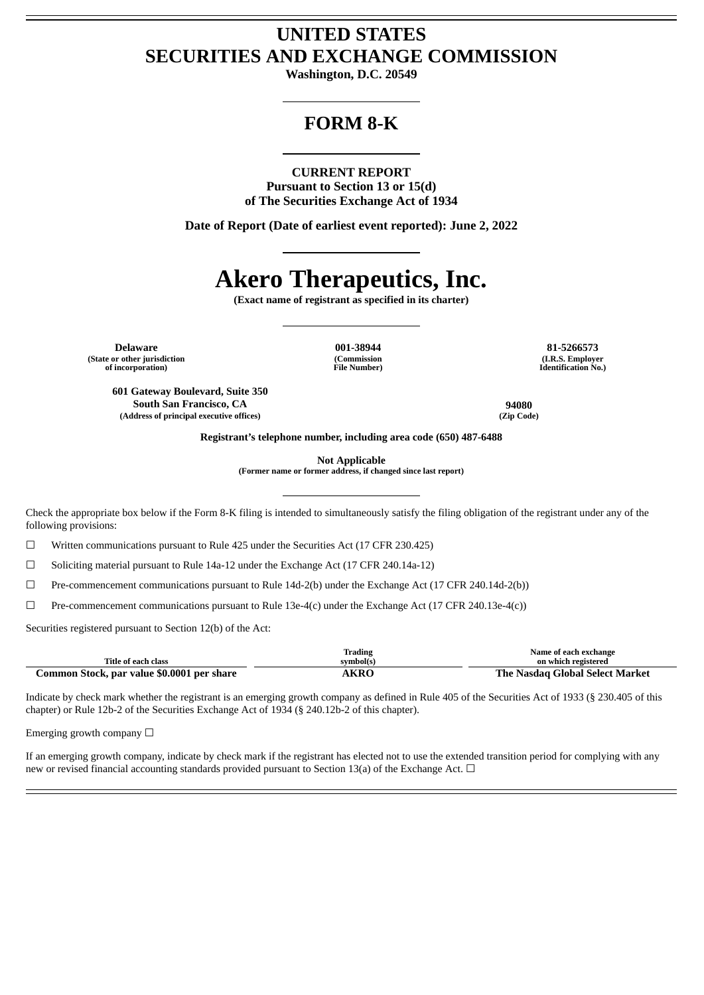## **UNITED STATES SECURITIES AND EXCHANGE COMMISSION**

**Washington, D.C. 20549**

## **FORM 8-K**

### **CURRENT REPORT**

**Pursuant to Section 13 or 15(d) of The Securities Exchange Act of 1934**

**Date of Report (Date of earliest event reported): June 2, 2022**

# **Akero Therapeutics, Inc.**

**(Exact name of registrant as specified in its charter)**

**Delaware 001-38944 81-5266573 (State or other jurisdiction of incorporation)**

**(Commission File Number)**

**(I.R.S. Employer Identification No.)**

**601 Gateway Boulevard, Suite 350 South San Francisco, CA 94080 (Address of principal executive offices) (Zip Code)**

**Registrant's telephone number, including area code (650) 487-6488**

**Not Applicable**

**(Former name or former address, if changed since last report)**

Check the appropriate box below if the Form 8-K filing is intended to simultaneously satisfy the filing obligation of the registrant under any of the following provisions:

☐ Written communications pursuant to Rule 425 under the Securities Act (17 CFR 230.425)

☐ Soliciting material pursuant to Rule 14a-12 under the Exchange Act (17 CFR 240.14a-12)

☐ Pre-commencement communications pursuant to Rule 14d-2(b) under the Exchange Act (17 CFR 240.14d-2(b))

 $\Box$  Pre-commencement communications pursuant to Rule 13e-4(c) under the Exchange Act (17 CFR 240.13e-4(c))

Securities registered pursuant to Section 12(b) of the Act:

|                                            | <b>Trading</b> | Name of each exchange           |
|--------------------------------------------|----------------|---------------------------------|
| <b>Title of each class</b>                 | symbol(s)      | on which registered             |
| Common Stock, par value \$0.0001 per share | <b>AKRO</b>    | The Nasdag Global Select Market |

Indicate by check mark whether the registrant is an emerging growth company as defined in Rule 405 of the Securities Act of 1933 (§ 230.405 of this chapter) or Rule 12b-2 of the Securities Exchange Act of 1934 (§ 240.12b-2 of this chapter).

Emerging growth company  $\Box$ 

If an emerging growth company, indicate by check mark if the registrant has elected not to use the extended transition period for complying with any new or revised financial accounting standards provided pursuant to Section 13(a) of the Exchange Act.  $\Box$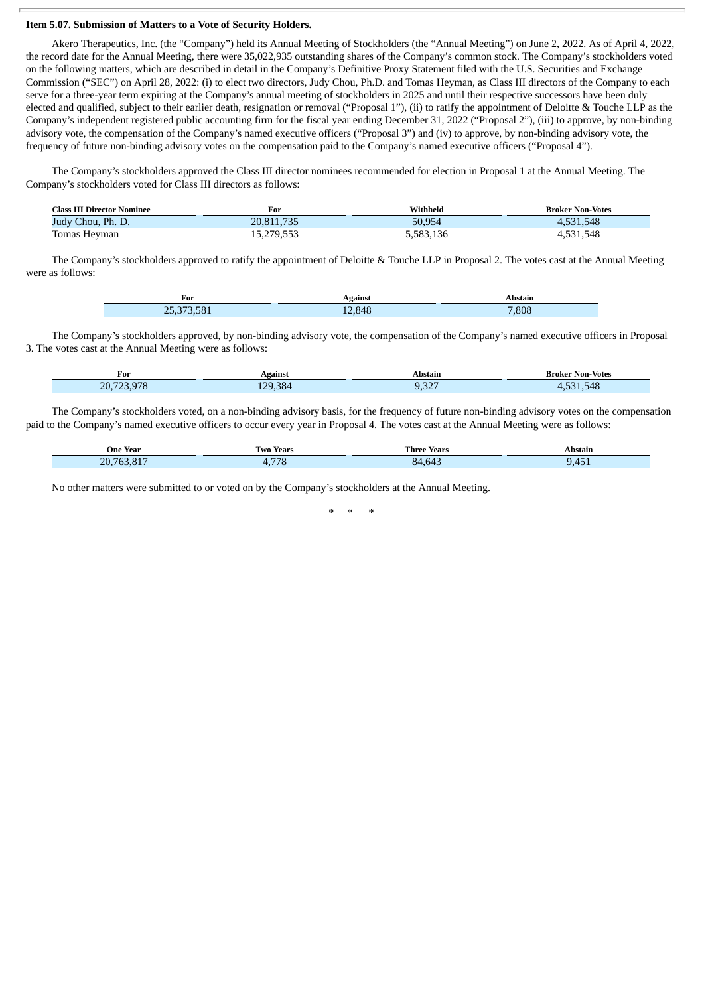#### **Item 5.07. Submission of Matters to a Vote of Security Holders.**

Akero Therapeutics, Inc. (the "Company") held its Annual Meeting of Stockholders (the "Annual Meeting") on June 2, 2022. As of April 4, 2022, the record date for the Annual Meeting, there were 35,022,935 outstanding shares of the Company's common stock. The Company's stockholders voted on the following matters, which are described in detail in the Company's Definitive Proxy Statement filed with the U.S. Securities and Exchange Commission ("SEC") on April 28, 2022: (i) to elect two directors, Judy Chou, Ph.D. and Tomas Heyman, as Class III directors of the Company to each serve for a three-year term expiring at the Company's annual meeting of stockholders in 2025 and until their respective successors have been duly elected and qualified, subject to their earlier death, resignation or removal ("Proposal 1"), (ii) to ratify the appointment of Deloitte & Touche LLP as the Company's independent registered public accounting firm for the fiscal year ending December 31, 2022 ("Proposal 2"), (iii) to approve, by non-binding advisory vote, the compensation of the Company's named executive officers ("Proposal 3") and (iv) to approve, by non-binding advisory vote, the frequency of future non-binding advisory votes on the compensation paid to the Company's named executive officers ("Proposal 4").

The Company's stockholders approved the Class III director nominees recommended for election in Proposal 1 at the Annual Meeting. The Company's stockholders voted for Class III directors as follows:

| <b>Class III Director Nominee</b> | For        | Withheld  | <b>Broker Non-Votes</b> |
|-----------------------------------|------------|-----------|-------------------------|
| Judy Chou, Ph. D.                 | 20,811,735 | 50,954    | 4,531,548               |
| Tomas Heyman                      | 15,279,553 | 5,583,136 | 4,531,548               |

The Company's stockholders approved to ratify the appointment of Deloitte & Touche LLP in Proposal 2. The votes cast at the Annual Meeting were as follows:

| For                        | Against | Abstain |
|----------------------------|---------|---------|
| 73,581<br>$n = 1$<br>25,37 | .848    | ,808    |

The Company's stockholders approved, by non-binding advisory vote, the compensation of the Company's named executive officers in Proposal 3. The votes cast at the Annual Meeting were as follows:

| For                  | Against                                                                                                                              | Abstair              | <b>Broker Non-Votes</b> |
|----------------------|--------------------------------------------------------------------------------------------------------------------------------------|----------------------|-------------------------|
| $\sim$ $\sim$<br>20. | 384<br>ם רו<br><b>Contract Contract Contract Contract Contract Contract Contract Contract Contract Contract Contract Contract Co</b> | $\sim$<br>----<br>-- | $F \cup Q$<br>$-21$     |

The Company's stockholders voted, on a non-binding advisory basis, for the frequency of future non-binding advisory votes on the compensation paid to the Company's named executive officers to occur every year in Proposal 4. The votes cast at the Annual Meeting were as follows:

| $\sim$ $\sim$<br>One Year | Two Years         | Three<br>Years               | Abstain     |
|---------------------------|-------------------|------------------------------|-------------|
| (1763.817)<br>20.         | 770<br>70<br>T. 7 | $\sim$ $\sim$<br>84<br>4.643 | .<br>$\sim$ |

No other matters were submitted to or voted on by the Company's stockholders at the Annual Meeting.

\* \* \*